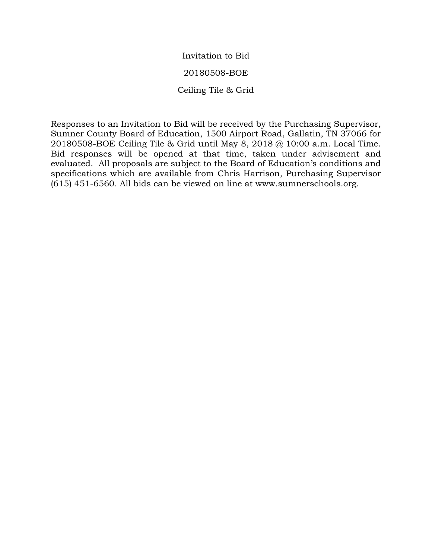Invitation to Bid

20180508-BOE

Ceiling Tile & Grid

Responses to an Invitation to Bid will be received by the Purchasing Supervisor, Sumner County Board of Education, 1500 Airport Road, Gallatin, TN 37066 for 20180508-BOE Ceiling Tile & Grid until May 8, 2018 @ 10:00 a.m. Local Time. Bid responses will be opened at that time, taken under advisement and evaluated. All proposals are subject to the Board of Education's conditions and specifications which are available from Chris Harrison, Purchasing Supervisor (615) 451-6560. All bids can be viewed on line at www.sumnerschools.org.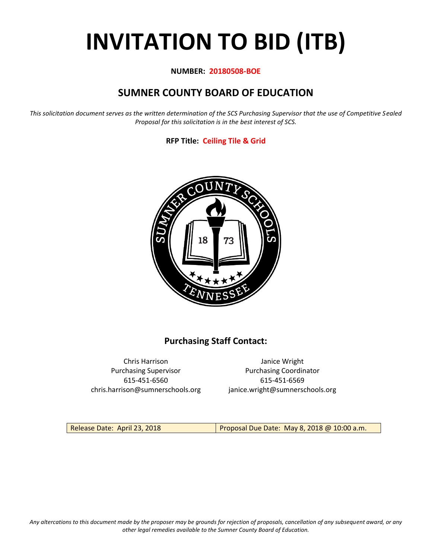# **INVITATION TO BID (ITB)**

### **NUMBER: 20180508-BOE**

## **SUMNER COUNTY BOARD OF EDUCATION**

*This solicitation document serves as the written determination of the SCS Purchasing Supervisor that the use of Competitive Sealed Proposal for this solicitation is in the best interest of SCS.*

## **RFP Title: Ceiling Tile & Grid**



## **Purchasing Staff Contact:**

Chris Harrison Janice Wright 615-451-6560 615-451-6569 chris.harrison@sumnerschools.org janice.wright@sumnerschools.org

Purchasing Supervisor **Purchasing Coordinator** 

Release Date: April 23, 2018 Proposal Due Date: May 8, 2018 @ 10:00 a.m.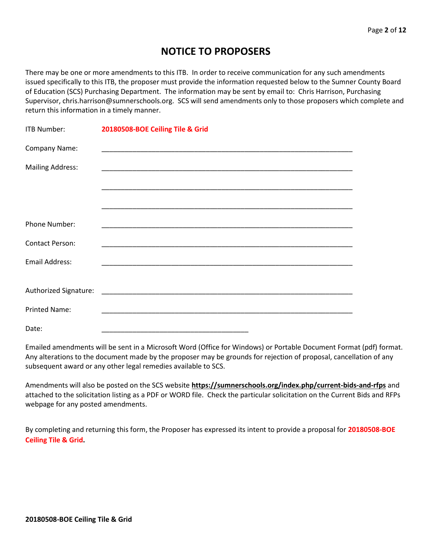# **NOTICE TO PROPOSERS**

There may be one or more amendments to this ITB. In order to receive communication for any such amendments issued specifically to this ITB, the proposer must provide the information requested below to the Sumner County Board of Education (SCS) Purchasing Department. The information may be sent by email to: Chris Harrison, Purchasing Supervisor, chris.harrison@sumnerschools.org. SCS will send amendments only to those proposers which complete and return this information in a timely manner.

| <b>ITB Number:</b>      | 20180508-BOE Ceiling Tile & Grid                            |
|-------------------------|-------------------------------------------------------------|
| Company Name:           |                                                             |
| <b>Mailing Address:</b> |                                                             |
|                         |                                                             |
|                         |                                                             |
| Phone Number:           |                                                             |
| <b>Contact Person:</b>  | <u> 1989 - Johann Stoff, amerikansk politiker (d. 1989)</u> |
| Email Address:          |                                                             |
|                         |                                                             |
|                         |                                                             |
| <b>Printed Name:</b>    |                                                             |
| Date:                   |                                                             |

Emailed amendments will be sent in a Microsoft Word (Office for Windows) or Portable Document Format (pdf) format. Any alterations to the document made by the proposer may be grounds for rejection of proposal, cancellation of any subsequent award or any other legal remedies available to SCS.

Amendments will also be posted on the SCS website **https://sumnerschools.org/index.php/current-bids-and-rfps** and attached to the solicitation listing as a PDF or WORD file. Check the particular solicitation on the Current Bids and RFPs webpage for any posted amendments.

By completing and returning this form, the Proposer has expressed its intent to provide a proposal for **20180508-BOE Ceiling Tile & Grid.**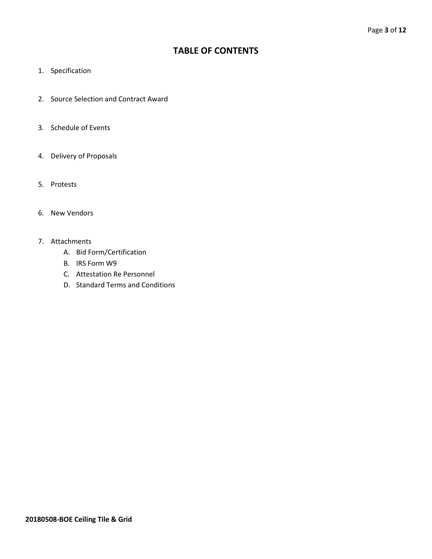## **TABLE OF CONTENTS**

- 1. Specification
- 2. Source Selection and Contract Award
- 3. Schedule of Events
- 4. Delivery of Proposals
- 5. Protests
- 6. New Vendors
- 7. Attachments
	- A. Bid Form/Certification
	- B. IRS Form W9
	- C. Attestation Re Personnel
	- D. Standard Terms and Conditions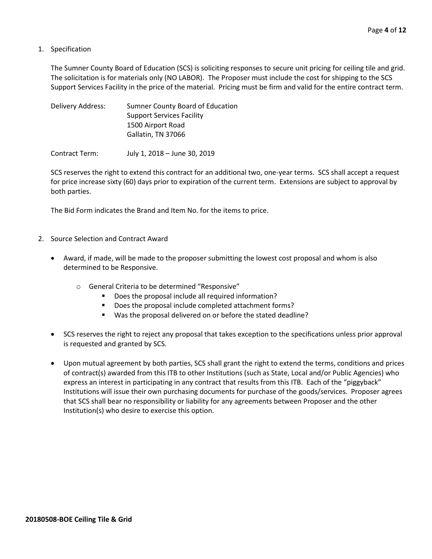1. Specification

The Sumner County Board of Education (SCS) is soliciting responses to secure unit pricing for ceiling tile and grid. The solicitation is for materials only (NO LABOR). The Proposer must include the cost for shipping to the SCS Support Services Facility in the price of the material. Pricing must be firm and valid for the entire contract term.

| Delivery Address: | Sumner County Board of Education |
|-------------------|----------------------------------|
|                   | <b>Support Services Facility</b> |
|                   | 1500 Airport Road                |
|                   | Gallatin, TN 37066               |
|                   |                                  |

Contract Term: July 1, 2018 – June 30, 2019

SCS reserves the right to extend this contract for an additional two, one-year terms. SCS shall accept a request for price increase sixty (60) days prior to expiration of the current term. Extensions are subject to approval by both parties.

The Bid Form indicates the Brand and Item No. for the items to price.

- 2. Source Selection and Contract Award
	- Award, if made, will be made to the proposer submitting the lowest cost proposal and whom is also determined to be Responsive.
		- o General Criteria to be determined "Responsive"
			- Does the proposal include all required information?
			- Does the proposal include completed attachment forms?
			- Was the proposal delivered on or before the stated deadline?
	- SCS reserves the right to reject any proposal that takes exception to the specifications unless prior approval is requested and granted by SCS.
	- Upon mutual agreement by both parties, SCS shall grant the right to extend the terms, conditions and prices of contract(s) awarded from this ITB to other Institutions (such as State, Local and/or Public Agencies) who express an interest in participating in any contract that results from this ITB. Each of the "piggyback" Institutions will issue their own purchasing documents for purchase of the goods/services. Proposer agrees that SCS shall bear no responsibility or liability for any agreements between Proposer and the other Institution(s) who desire to exercise this option.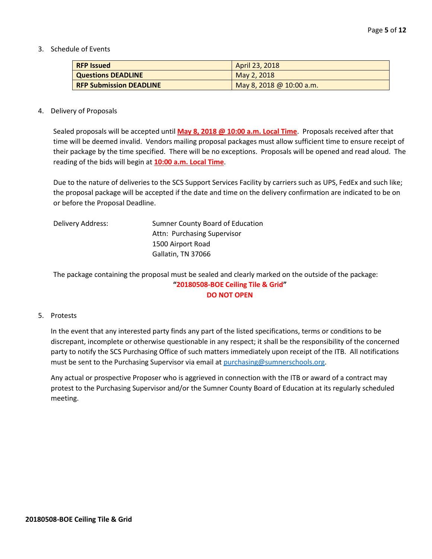3. Schedule of Events

| <b>RFP Issued</b>              | April 23, 2018           |
|--------------------------------|--------------------------|
| <b>Questions DEADLINE</b>      | May 2, 2018              |
| <b>RFP Submission DEADLINE</b> | May 8, 2018 @ 10:00 a.m. |

#### 4. Delivery of Proposals

Sealed proposals will be accepted until **May 8, 2018 @ 10:00 a.m. Local Time**. Proposals received after that time will be deemed invalid. Vendors mailing proposal packages must allow sufficient time to ensure receipt of their package by the time specified. There will be no exceptions. Proposals will be opened and read aloud. The reading of the bids will begin at **10:00 a.m. Local Time**.

Due to the nature of deliveries to the SCS Support Services Facility by carriers such as UPS, FedEx and such like; the proposal package will be accepted if the date and time on the delivery confirmation are indicated to be on or before the Proposal Deadline.

| Delivery Address: | Sumner County Board of Education |
|-------------------|----------------------------------|
|                   | Attn: Purchasing Supervisor      |
|                   | 1500 Airport Road                |
|                   | Gallatin, TN 37066               |
|                   |                                  |

The package containing the proposal must be sealed and clearly marked on the outside of the package: **"20180508-BOE Ceiling Tile & Grid" DO NOT OPEN**

#### 5. Protests

In the event that any interested party finds any part of the listed specifications, terms or conditions to be discrepant, incomplete or otherwise questionable in any respect; it shall be the responsibility of the concerned party to notify the SCS Purchasing Office of such matters immediately upon receipt of the ITB. All notifications must be sent to the Purchasing Supervisor via email at [purchasing@sumnerschools.org.](mailto:purchasing@sumnerschools.org)

Any actual or prospective Proposer who is aggrieved in connection with the ITB or award of a contract may protest to the Purchasing Supervisor and/or the Sumner County Board of Education at its regularly scheduled meeting.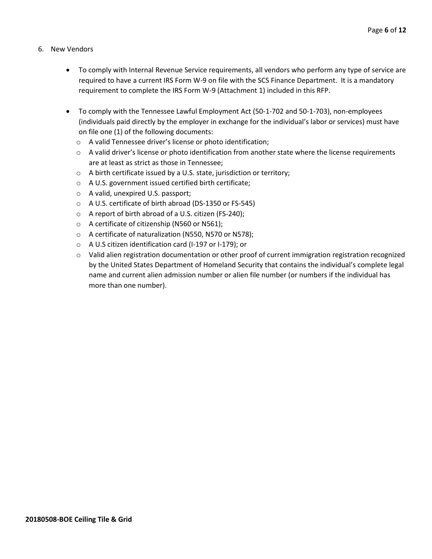- 6. New Vendors
	- To comply with Internal Revenue Service requirements, all vendors who perform any type of service are required to have a current IRS Form W-9 on file with the SCS Finance Department. It is a mandatory requirement to complete the IRS Form W-9 (Attachment 1) included in this RFP.
	- To comply with the Tennessee Lawful Employment Act (50-1-702 and 50-1-703), non-employees (individuals paid directly by the employer in exchange for the individual's labor or services) must have on file one (1) of the following documents:
		- o A valid Tennessee driver's license or photo identification;
		- $\circ$  A valid driver's license or photo identification from another state where the license requirements are at least as strict as those in Tennessee;
		- o A birth certificate issued by a U.S. state, jurisdiction or territory;
		- o A U.S. government issued certified birth certificate;
		- o A valid, unexpired U.S. passport;
		- o A U.S. certificate of birth abroad (DS-1350 or FS-545)
		- o A report of birth abroad of a U.S. citizen (FS-240);
		- o A certificate of citizenship (N560 or N561);
		- o A certificate of naturalization (N550, N570 or N578);
		- o A U.S citizen identification card (I-197 or I-179); or
		- $\circ$  Valid alien registration documentation or other proof of current immigration registration recognized by the United States Department of Homeland Security that contains the individual's complete legal name and current alien admission number or alien file number (or numbers if the individual has more than one number).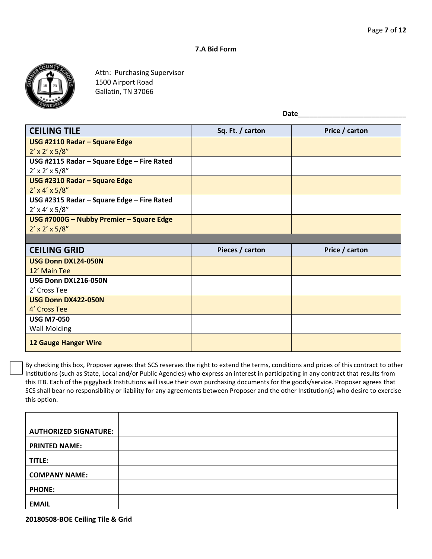#### **7.A Bid Form**



Attn: Purchasing Supervisor 1500 Airport Road Gallatin, TN 37066

Date

| <b>CEILING TILE</b>                        | Sq. Ft. / carton | Price / carton |
|--------------------------------------------|------------------|----------------|
| USG #2110 Radar - Square Edge              |                  |                |
| $2' \times 2' \times 5/8''$                |                  |                |
| USG #2115 Radar - Square Edge - Fire Rated |                  |                |
| $2' \times 2' \times 5/8''$                |                  |                |
| USG #2310 Radar - Square Edge              |                  |                |
| $2' \times 4' \times 5/8''$                |                  |                |
| USG #2315 Radar - Square Edge - Fire Rated |                  |                |
| $2' \times 4' \times 5/8''$                |                  |                |
| USG #7000G - Nubby Premier - Square Edge   |                  |                |
| $2' \times 2' \times 5/8''$                |                  |                |
|                                            |                  |                |
| <b>CEILING GRID</b>                        | Pieces / carton  | Price / carton |
| <b>USG Donn DXL24-050N</b>                 |                  |                |
| 12' Main Tee                               |                  |                |
| USG Donn DXL216-050N                       |                  |                |
| 2' Cross Tee                               |                  |                |
| USG Donn DX422-050N                        |                  |                |
| 4' Cross Tee                               |                  |                |
| <b>USG M7-050</b>                          |                  |                |

**12 Gauge Hanger Wire**

Wall Molding

By checking this box, Proposer agrees that SCS reserves the right to extend the terms, conditions and prices of this contract to other Institutions (such as State, Local and/or Public Agencies) who express an interest in participating in any contract that results from this ITB. Each of the piggyback Institutions will issue their own purchasing documents for the goods/service. Proposer agrees that SCS shall bear no responsibility or liability for any agreements between Proposer and the other Institution(s) who desire to exercise this option.

| <b>AUTHORIZED SIGNATURE:</b> |  |
|------------------------------|--|
| <b>PRINTED NAME:</b>         |  |
| TITLE:                       |  |
| <b>COMPANY NAME:</b>         |  |
| <b>PHONE:</b>                |  |
| <b>EMAIL</b>                 |  |

**20180508-BOE Ceiling Tile & Grid**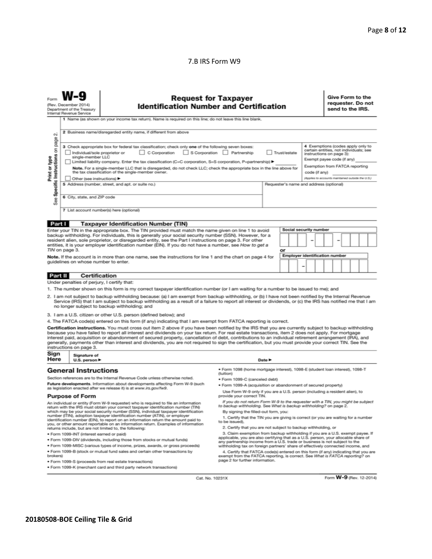#### 7.B IRS Form W9

| 2 Business name/disregarded entity name, if different from above<br>οû<br>page<br>4 Exemptions (codes apply only to<br>3 Check appropriate box for federal tax classification; check only one of the following seven boxes:<br>Specific Instructions on<br>certain entities, not individuals; see<br>S Corporation<br>Individual/sole proprietor or<br>C Corporation<br>Partnership<br>Trust/estate<br>instructions on page 3):<br>Print or type<br>single-member LLC<br>Exempt payee code (if any)<br>Limited liability company. Enter the tax classification (C=C corporation, S=S corporation, P=partnership) ▶<br>Exemption from FATCA reporting<br>Note. For a single-member LLC that is disregarded, do not check LLC; check the appropriate box in the line above for<br>the tax classification of the single-member owner.<br>code (if any)<br>(Applies to accounts maintained outside the U.S.)<br>Other (see instructions)<br>5 Address (number, street, and apt. or suite no.)<br>Requester's name and address (optional)<br>6 City, state, and ZIP code<br>See<br>7 List account number(s) here (optional)<br>Part I<br><b>Taxpayer Identification Number (TIN)</b><br>Social security number<br>Enter your TIN in the appropriate box. The TIN provided must match the name given on line 1 to avoid<br>backup withholding. For individuals, this is generally your social security number (SSN). However, for a<br>resident alien, sole proprietor, or disregarded entity, see the Part I instructions on page 3. For other<br>entities, it is your employer identification number (EIN). If you do not have a number, see How to get a<br>TIN on page 3.<br>or<br><b>Employer identification number</b><br>Note. If the account is in more than one name, see the instructions for line 1 and the chart on page 4 for<br>quidelines on whose number to enter.<br>Certification<br><b>Part II</b><br>Under penalties of perjury, I certify that:<br>1. The number shown on this form is my correct taxpayer identification number (or I am waiting for a number to be issued to me); and<br>2. I am not subject to backup withholding because: (a) I am exempt from backup withholding, or (b) I have not been notified by the Internal Revenue<br>Service (IRS) that I am subject to backup withholding as a result of a failure to report all interest or dividends, or (c) the IRS has notified me that I am<br>no longer subject to backup withholding; and<br>3. I am a U.S. citizen or other U.S. person (defined below); and<br>4. The FATCA code(s) entered on this form (if any) indicating that I am exempt from FATCA reporting is correct.<br>Certification instructions. You must cross out item 2 above if you have been notified by the IRS that you are currently subject to backup withholding<br>because you have failed to report all interest and dividends on your tax return. For real estate transactions, item 2 does not apply. For mortgage<br>interest paid, acquisition or abandonment of secured property, cancellation of debt, contributions to an individual retirement arrangement (IRA), and<br>generally, payments other than interest and dividends, you are not required to sign the certification, but you must provide your correct TIN. See the<br>instructions on page 3.<br>Sign<br>Signature of<br>Here<br>Date $\blacktriangleright$<br>U.S. person ▶<br>· Form 1098 (home mortgage interest), 1098-E (student loan interest), 1098-T<br><b>General Instructions</b><br>(tuition)<br>Section references are to the Internal Revenue Code unless otherwise noted.<br>· Form 1099-C (canceled debt)<br>Future developments. Information about developments affecting Form W-9 (such<br>· Form 1099-A (acquisition or abandonment of secured property)<br>as legislation enacted after we release it) is at www.irs.gov/fw9.<br>Use Form W-9 only if you are a U.S. person (including a resident alien), to<br><b>Purpose of Form</b><br>provide your correct TIN.<br>If you do not return Form W-9 to the requester with a TIN, you might be subject<br>An individual or entity (Form W-9 requester) who is required to file an information<br>to backup withholding. See What is backup withholding? on page 2.<br>return with the IRS must obtain your correct taxpayer identification number (TIN)<br>which may be your social security number (SSN), individual taxpayer identification<br>By signing the filled-out form, you:<br>number (ITIN), adoption taxpayer identification number (ATIN), or employer<br>1. Certify that the TIN you are giving is correct (or you are waiting for a number<br>identification number (EIN), to report on an information return the amount paid to<br>to be issued).<br>you, or other amount reportable on an information return. Examples of information<br>2. Certify that you are not subject to backup withholding, or<br>returns include, but are not limited to, the following:<br>3. Claim exemption from backup withholding if you are a U.S. exempt payee. If<br>· Form 1099-INT (interest earned or paid)<br>applicable, you are also certifying that as a U.S. person, your allocable share of<br>. Form 1099-DIV (dividends, including those from stocks or mutual funds)<br>any partnership income from a U.S. trade or business is not subject to the<br>. Form 1099-MISC (various types of income, prizes, awards, or gross proceeds)<br>withholding tax on foreign partners' share of effectively connected income, and<br>. Form 1099-B (stock or mutual fund sales and certain other transactions by<br>4. Certify that FATCA code(s) entered on this form (if any) indicating that you are<br>brokers)<br>exempt from the FATCA reporting, is correct. See What is FATCA reporting? on<br>page 2 for further information.<br>· Form 1099-S (proceeds from real estate transactions) | Give Form to the<br><b>Request for Taxpayer</b><br>requester. Do not<br><b>Identification Number and Certification</b><br>(Rev. December 2014)<br>send to the IRS.<br>Department of the Treasury<br>Internal Revenue Service<br>1 Name (as shown on your income tax return). Name is required on this line; do not leave this line blank. |  |                                                                    |  |  |  |  |  |  |  |  |  |  |
|-----------------------------------------------------------------------------------------------------------------------------------------------------------------------------------------------------------------------------------------------------------------------------------------------------------------------------------------------------------------------------------------------------------------------------------------------------------------------------------------------------------------------------------------------------------------------------------------------------------------------------------------------------------------------------------------------------------------------------------------------------------------------------------------------------------------------------------------------------------------------------------------------------------------------------------------------------------------------------------------------------------------------------------------------------------------------------------------------------------------------------------------------------------------------------------------------------------------------------------------------------------------------------------------------------------------------------------------------------------------------------------------------------------------------------------------------------------------------------------------------------------------------------------------------------------------------------------------------------------------------------------------------------------------------------------------------------------------------------------------------------------------------------------------------------------------------------------------------------------------------------------------------------------------------------------------------------------------------------------------------------------------------------------------------------------------------------------------------------------------------------------------------------------------------------------------------------------------------------------------------------------------------------------------------------------------------------------------------------------------------------------------------------------------------------------------------------------------------------------------------------------------------------------------------------------------------------------------------------------------------------------------------------------------------------------------------------------------------------------------------------------------------------------------------------------------------------------------------------------------------------------------------------------------------------------------------------------------------------------------------------------------------------------------------------------------------------------------------------------------------------------------------------------------------------------------------------------------------------------------------------------------------------------------------------------------------------------------------------------------------------------------------------------------------------------------------------------------------------------------------------------------------------------------------------------------------------------------------------------------------------------------------------------------------------------------------------------------------------------------------------------------------------------------------------------------------------------------------------------------------------------------------------------------------------------------------------------------------------------------------------------------------------------------------------------------------------------------------------------------------------------------------------------------------------------------------------------------------------------------------------------------------------------------------------------------------------------------------------------------------------------------------------------------------------------------------------------------------------------------------------------------------------------------------------------------------------------------------------------------------------------------------------------------------------------------------------------------------------------------------------------------------------------------------------------------------------------------------------------------------------------------------------------------------------------------------------------------------------------------------------------------------------------------------------------------------------------------------------------------------------------------------------------------------------------------------------------------------------------------------------------------------------------------------------------------------------------------------------------------------------------------------------------------------------------------------------------------------------------------------------------------------------------------------------------------------------------------------------------------------------------------------------------------------------------------------------------------------------------------------------------------------------------------------------------------------------------------------------------------------------------------------------------|-------------------------------------------------------------------------------------------------------------------------------------------------------------------------------------------------------------------------------------------------------------------------------------------------------------------------------------------|--|--------------------------------------------------------------------|--|--|--|--|--|--|--|--|--|--|
|                                                                                                                                                                                                                                                                                                                                                                                                                                                                                                                                                                                                                                                                                                                                                                                                                                                                                                                                                                                                                                                                                                                                                                                                                                                                                                                                                                                                                                                                                                                                                                                                                                                                                                                                                                                                                                                                                                                                                                                                                                                                                                                                                                                                                                                                                                                                                                                                                                                                                                                                                                                                                                                                                                                                                                                                                                                                                                                                                                                                                                                                                                                                                                                                                                                                                                                                                                                                                                                                                                                                                                                                                                                                                                                                                                                                                                                                                                                                                                                                                                                                                                                                                                                                                                                                                                                                                                                                                                                                                                                                                                                                                                                                                                                                                                                                                                                                                                                                                                                                                                                                                                                                                                                                                                                                                                                                                                                                                                                                                                                                                                                                                                                                                                                                                                                                                                                                                                           |                                                                                                                                                                                                                                                                                                                                           |  |                                                                    |  |  |  |  |  |  |  |  |  |  |
|                                                                                                                                                                                                                                                                                                                                                                                                                                                                                                                                                                                                                                                                                                                                                                                                                                                                                                                                                                                                                                                                                                                                                                                                                                                                                                                                                                                                                                                                                                                                                                                                                                                                                                                                                                                                                                                                                                                                                                                                                                                                                                                                                                                                                                                                                                                                                                                                                                                                                                                                                                                                                                                                                                                                                                                                                                                                                                                                                                                                                                                                                                                                                                                                                                                                                                                                                                                                                                                                                                                                                                                                                                                                                                                                                                                                                                                                                                                                                                                                                                                                                                                                                                                                                                                                                                                                                                                                                                                                                                                                                                                                                                                                                                                                                                                                                                                                                                                                                                                                                                                                                                                                                                                                                                                                                                                                                                                                                                                                                                                                                                                                                                                                                                                                                                                                                                                                                                           |                                                                                                                                                                                                                                                                                                                                           |  |                                                                    |  |  |  |  |  |  |  |  |  |  |
|                                                                                                                                                                                                                                                                                                                                                                                                                                                                                                                                                                                                                                                                                                                                                                                                                                                                                                                                                                                                                                                                                                                                                                                                                                                                                                                                                                                                                                                                                                                                                                                                                                                                                                                                                                                                                                                                                                                                                                                                                                                                                                                                                                                                                                                                                                                                                                                                                                                                                                                                                                                                                                                                                                                                                                                                                                                                                                                                                                                                                                                                                                                                                                                                                                                                                                                                                                                                                                                                                                                                                                                                                                                                                                                                                                                                                                                                                                                                                                                                                                                                                                                                                                                                                                                                                                                                                                                                                                                                                                                                                                                                                                                                                                                                                                                                                                                                                                                                                                                                                                                                                                                                                                                                                                                                                                                                                                                                                                                                                                                                                                                                                                                                                                                                                                                                                                                                                                           |                                                                                                                                                                                                                                                                                                                                           |  |                                                                    |  |  |  |  |  |  |  |  |  |  |
|                                                                                                                                                                                                                                                                                                                                                                                                                                                                                                                                                                                                                                                                                                                                                                                                                                                                                                                                                                                                                                                                                                                                                                                                                                                                                                                                                                                                                                                                                                                                                                                                                                                                                                                                                                                                                                                                                                                                                                                                                                                                                                                                                                                                                                                                                                                                                                                                                                                                                                                                                                                                                                                                                                                                                                                                                                                                                                                                                                                                                                                                                                                                                                                                                                                                                                                                                                                                                                                                                                                                                                                                                                                                                                                                                                                                                                                                                                                                                                                                                                                                                                                                                                                                                                                                                                                                                                                                                                                                                                                                                                                                                                                                                                                                                                                                                                                                                                                                                                                                                                                                                                                                                                                                                                                                                                                                                                                                                                                                                                                                                                                                                                                                                                                                                                                                                                                                                                           |                                                                                                                                                                                                                                                                                                                                           |  |                                                                    |  |  |  |  |  |  |  |  |  |  |
|                                                                                                                                                                                                                                                                                                                                                                                                                                                                                                                                                                                                                                                                                                                                                                                                                                                                                                                                                                                                                                                                                                                                                                                                                                                                                                                                                                                                                                                                                                                                                                                                                                                                                                                                                                                                                                                                                                                                                                                                                                                                                                                                                                                                                                                                                                                                                                                                                                                                                                                                                                                                                                                                                                                                                                                                                                                                                                                                                                                                                                                                                                                                                                                                                                                                                                                                                                                                                                                                                                                                                                                                                                                                                                                                                                                                                                                                                                                                                                                                                                                                                                                                                                                                                                                                                                                                                                                                                                                                                                                                                                                                                                                                                                                                                                                                                                                                                                                                                                                                                                                                                                                                                                                                                                                                                                                                                                                                                                                                                                                                                                                                                                                                                                                                                                                                                                                                                                           |                                                                                                                                                                                                                                                                                                                                           |  |                                                                    |  |  |  |  |  |  |  |  |  |  |
|                                                                                                                                                                                                                                                                                                                                                                                                                                                                                                                                                                                                                                                                                                                                                                                                                                                                                                                                                                                                                                                                                                                                                                                                                                                                                                                                                                                                                                                                                                                                                                                                                                                                                                                                                                                                                                                                                                                                                                                                                                                                                                                                                                                                                                                                                                                                                                                                                                                                                                                                                                                                                                                                                                                                                                                                                                                                                                                                                                                                                                                                                                                                                                                                                                                                                                                                                                                                                                                                                                                                                                                                                                                                                                                                                                                                                                                                                                                                                                                                                                                                                                                                                                                                                                                                                                                                                                                                                                                                                                                                                                                                                                                                                                                                                                                                                                                                                                                                                                                                                                                                                                                                                                                                                                                                                                                                                                                                                                                                                                                                                                                                                                                                                                                                                                                                                                                                                                           |                                                                                                                                                                                                                                                                                                                                           |  |                                                                    |  |  |  |  |  |  |  |  |  |  |
|                                                                                                                                                                                                                                                                                                                                                                                                                                                                                                                                                                                                                                                                                                                                                                                                                                                                                                                                                                                                                                                                                                                                                                                                                                                                                                                                                                                                                                                                                                                                                                                                                                                                                                                                                                                                                                                                                                                                                                                                                                                                                                                                                                                                                                                                                                                                                                                                                                                                                                                                                                                                                                                                                                                                                                                                                                                                                                                                                                                                                                                                                                                                                                                                                                                                                                                                                                                                                                                                                                                                                                                                                                                                                                                                                                                                                                                                                                                                                                                                                                                                                                                                                                                                                                                                                                                                                                                                                                                                                                                                                                                                                                                                                                                                                                                                                                                                                                                                                                                                                                                                                                                                                                                                                                                                                                                                                                                                                                                                                                                                                                                                                                                                                                                                                                                                                                                                                                           |                                                                                                                                                                                                                                                                                                                                           |  |                                                                    |  |  |  |  |  |  |  |  |  |  |
|                                                                                                                                                                                                                                                                                                                                                                                                                                                                                                                                                                                                                                                                                                                                                                                                                                                                                                                                                                                                                                                                                                                                                                                                                                                                                                                                                                                                                                                                                                                                                                                                                                                                                                                                                                                                                                                                                                                                                                                                                                                                                                                                                                                                                                                                                                                                                                                                                                                                                                                                                                                                                                                                                                                                                                                                                                                                                                                                                                                                                                                                                                                                                                                                                                                                                                                                                                                                                                                                                                                                                                                                                                                                                                                                                                                                                                                                                                                                                                                                                                                                                                                                                                                                                                                                                                                                                                                                                                                                                                                                                                                                                                                                                                                                                                                                                                                                                                                                                                                                                                                                                                                                                                                                                                                                                                                                                                                                                                                                                                                                                                                                                                                                                                                                                                                                                                                                                                           |                                                                                                                                                                                                                                                                                                                                           |  |                                                                    |  |  |  |  |  |  |  |  |  |  |
|                                                                                                                                                                                                                                                                                                                                                                                                                                                                                                                                                                                                                                                                                                                                                                                                                                                                                                                                                                                                                                                                                                                                                                                                                                                                                                                                                                                                                                                                                                                                                                                                                                                                                                                                                                                                                                                                                                                                                                                                                                                                                                                                                                                                                                                                                                                                                                                                                                                                                                                                                                                                                                                                                                                                                                                                                                                                                                                                                                                                                                                                                                                                                                                                                                                                                                                                                                                                                                                                                                                                                                                                                                                                                                                                                                                                                                                                                                                                                                                                                                                                                                                                                                                                                                                                                                                                                                                                                                                                                                                                                                                                                                                                                                                                                                                                                                                                                                                                                                                                                                                                                                                                                                                                                                                                                                                                                                                                                                                                                                                                                                                                                                                                                                                                                                                                                                                                                                           |                                                                                                                                                                                                                                                                                                                                           |  |                                                                    |  |  |  |  |  |  |  |  |  |  |
|                                                                                                                                                                                                                                                                                                                                                                                                                                                                                                                                                                                                                                                                                                                                                                                                                                                                                                                                                                                                                                                                                                                                                                                                                                                                                                                                                                                                                                                                                                                                                                                                                                                                                                                                                                                                                                                                                                                                                                                                                                                                                                                                                                                                                                                                                                                                                                                                                                                                                                                                                                                                                                                                                                                                                                                                                                                                                                                                                                                                                                                                                                                                                                                                                                                                                                                                                                                                                                                                                                                                                                                                                                                                                                                                                                                                                                                                                                                                                                                                                                                                                                                                                                                                                                                                                                                                                                                                                                                                                                                                                                                                                                                                                                                                                                                                                                                                                                                                                                                                                                                                                                                                                                                                                                                                                                                                                                                                                                                                                                                                                                                                                                                                                                                                                                                                                                                                                                           |                                                                                                                                                                                                                                                                                                                                           |  |                                                                    |  |  |  |  |  |  |  |  |  |  |
|                                                                                                                                                                                                                                                                                                                                                                                                                                                                                                                                                                                                                                                                                                                                                                                                                                                                                                                                                                                                                                                                                                                                                                                                                                                                                                                                                                                                                                                                                                                                                                                                                                                                                                                                                                                                                                                                                                                                                                                                                                                                                                                                                                                                                                                                                                                                                                                                                                                                                                                                                                                                                                                                                                                                                                                                                                                                                                                                                                                                                                                                                                                                                                                                                                                                                                                                                                                                                                                                                                                                                                                                                                                                                                                                                                                                                                                                                                                                                                                                                                                                                                                                                                                                                                                                                                                                                                                                                                                                                                                                                                                                                                                                                                                                                                                                                                                                                                                                                                                                                                                                                                                                                                                                                                                                                                                                                                                                                                                                                                                                                                                                                                                                                                                                                                                                                                                                                                           |                                                                                                                                                                                                                                                                                                                                           |  |                                                                    |  |  |  |  |  |  |  |  |  |  |
|                                                                                                                                                                                                                                                                                                                                                                                                                                                                                                                                                                                                                                                                                                                                                                                                                                                                                                                                                                                                                                                                                                                                                                                                                                                                                                                                                                                                                                                                                                                                                                                                                                                                                                                                                                                                                                                                                                                                                                                                                                                                                                                                                                                                                                                                                                                                                                                                                                                                                                                                                                                                                                                                                                                                                                                                                                                                                                                                                                                                                                                                                                                                                                                                                                                                                                                                                                                                                                                                                                                                                                                                                                                                                                                                                                                                                                                                                                                                                                                                                                                                                                                                                                                                                                                                                                                                                                                                                                                                                                                                                                                                                                                                                                                                                                                                                                                                                                                                                                                                                                                                                                                                                                                                                                                                                                                                                                                                                                                                                                                                                                                                                                                                                                                                                                                                                                                                                                           |                                                                                                                                                                                                                                                                                                                                           |  |                                                                    |  |  |  |  |  |  |  |  |  |  |
|                                                                                                                                                                                                                                                                                                                                                                                                                                                                                                                                                                                                                                                                                                                                                                                                                                                                                                                                                                                                                                                                                                                                                                                                                                                                                                                                                                                                                                                                                                                                                                                                                                                                                                                                                                                                                                                                                                                                                                                                                                                                                                                                                                                                                                                                                                                                                                                                                                                                                                                                                                                                                                                                                                                                                                                                                                                                                                                                                                                                                                                                                                                                                                                                                                                                                                                                                                                                                                                                                                                                                                                                                                                                                                                                                                                                                                                                                                                                                                                                                                                                                                                                                                                                                                                                                                                                                                                                                                                                                                                                                                                                                                                                                                                                                                                                                                                                                                                                                                                                                                                                                                                                                                                                                                                                                                                                                                                                                                                                                                                                                                                                                                                                                                                                                                                                                                                                                                           |                                                                                                                                                                                                                                                                                                                                           |  |                                                                    |  |  |  |  |  |  |  |  |  |  |
|                                                                                                                                                                                                                                                                                                                                                                                                                                                                                                                                                                                                                                                                                                                                                                                                                                                                                                                                                                                                                                                                                                                                                                                                                                                                                                                                                                                                                                                                                                                                                                                                                                                                                                                                                                                                                                                                                                                                                                                                                                                                                                                                                                                                                                                                                                                                                                                                                                                                                                                                                                                                                                                                                                                                                                                                                                                                                                                                                                                                                                                                                                                                                                                                                                                                                                                                                                                                                                                                                                                                                                                                                                                                                                                                                                                                                                                                                                                                                                                                                                                                                                                                                                                                                                                                                                                                                                                                                                                                                                                                                                                                                                                                                                                                                                                                                                                                                                                                                                                                                                                                                                                                                                                                                                                                                                                                                                                                                                                                                                                                                                                                                                                                                                                                                                                                                                                                                                           |                                                                                                                                                                                                                                                                                                                                           |  |                                                                    |  |  |  |  |  |  |  |  |  |  |
|                                                                                                                                                                                                                                                                                                                                                                                                                                                                                                                                                                                                                                                                                                                                                                                                                                                                                                                                                                                                                                                                                                                                                                                                                                                                                                                                                                                                                                                                                                                                                                                                                                                                                                                                                                                                                                                                                                                                                                                                                                                                                                                                                                                                                                                                                                                                                                                                                                                                                                                                                                                                                                                                                                                                                                                                                                                                                                                                                                                                                                                                                                                                                                                                                                                                                                                                                                                                                                                                                                                                                                                                                                                                                                                                                                                                                                                                                                                                                                                                                                                                                                                                                                                                                                                                                                                                                                                                                                                                                                                                                                                                                                                                                                                                                                                                                                                                                                                                                                                                                                                                                                                                                                                                                                                                                                                                                                                                                                                                                                                                                                                                                                                                                                                                                                                                                                                                                                           |                                                                                                                                                                                                                                                                                                                                           |  |                                                                    |  |  |  |  |  |  |  |  |  |  |
|                                                                                                                                                                                                                                                                                                                                                                                                                                                                                                                                                                                                                                                                                                                                                                                                                                                                                                                                                                                                                                                                                                                                                                                                                                                                                                                                                                                                                                                                                                                                                                                                                                                                                                                                                                                                                                                                                                                                                                                                                                                                                                                                                                                                                                                                                                                                                                                                                                                                                                                                                                                                                                                                                                                                                                                                                                                                                                                                                                                                                                                                                                                                                                                                                                                                                                                                                                                                                                                                                                                                                                                                                                                                                                                                                                                                                                                                                                                                                                                                                                                                                                                                                                                                                                                                                                                                                                                                                                                                                                                                                                                                                                                                                                                                                                                                                                                                                                                                                                                                                                                                                                                                                                                                                                                                                                                                                                                                                                                                                                                                                                                                                                                                                                                                                                                                                                                                                                           |                                                                                                                                                                                                                                                                                                                                           |  |                                                                    |  |  |  |  |  |  |  |  |  |  |
|                                                                                                                                                                                                                                                                                                                                                                                                                                                                                                                                                                                                                                                                                                                                                                                                                                                                                                                                                                                                                                                                                                                                                                                                                                                                                                                                                                                                                                                                                                                                                                                                                                                                                                                                                                                                                                                                                                                                                                                                                                                                                                                                                                                                                                                                                                                                                                                                                                                                                                                                                                                                                                                                                                                                                                                                                                                                                                                                                                                                                                                                                                                                                                                                                                                                                                                                                                                                                                                                                                                                                                                                                                                                                                                                                                                                                                                                                                                                                                                                                                                                                                                                                                                                                                                                                                                                                                                                                                                                                                                                                                                                                                                                                                                                                                                                                                                                                                                                                                                                                                                                                                                                                                                                                                                                                                                                                                                                                                                                                                                                                                                                                                                                                                                                                                                                                                                                                                           |                                                                                                                                                                                                                                                                                                                                           |  |                                                                    |  |  |  |  |  |  |  |  |  |  |
|                                                                                                                                                                                                                                                                                                                                                                                                                                                                                                                                                                                                                                                                                                                                                                                                                                                                                                                                                                                                                                                                                                                                                                                                                                                                                                                                                                                                                                                                                                                                                                                                                                                                                                                                                                                                                                                                                                                                                                                                                                                                                                                                                                                                                                                                                                                                                                                                                                                                                                                                                                                                                                                                                                                                                                                                                                                                                                                                                                                                                                                                                                                                                                                                                                                                                                                                                                                                                                                                                                                                                                                                                                                                                                                                                                                                                                                                                                                                                                                                                                                                                                                                                                                                                                                                                                                                                                                                                                                                                                                                                                                                                                                                                                                                                                                                                                                                                                                                                                                                                                                                                                                                                                                                                                                                                                                                                                                                                                                                                                                                                                                                                                                                                                                                                                                                                                                                                                           |                                                                                                                                                                                                                                                                                                                                           |  |                                                                    |  |  |  |  |  |  |  |  |  |  |
|                                                                                                                                                                                                                                                                                                                                                                                                                                                                                                                                                                                                                                                                                                                                                                                                                                                                                                                                                                                                                                                                                                                                                                                                                                                                                                                                                                                                                                                                                                                                                                                                                                                                                                                                                                                                                                                                                                                                                                                                                                                                                                                                                                                                                                                                                                                                                                                                                                                                                                                                                                                                                                                                                                                                                                                                                                                                                                                                                                                                                                                                                                                                                                                                                                                                                                                                                                                                                                                                                                                                                                                                                                                                                                                                                                                                                                                                                                                                                                                                                                                                                                                                                                                                                                                                                                                                                                                                                                                                                                                                                                                                                                                                                                                                                                                                                                                                                                                                                                                                                                                                                                                                                                                                                                                                                                                                                                                                                                                                                                                                                                                                                                                                                                                                                                                                                                                                                                           |                                                                                                                                                                                                                                                                                                                                           |  |                                                                    |  |  |  |  |  |  |  |  |  |  |
|                                                                                                                                                                                                                                                                                                                                                                                                                                                                                                                                                                                                                                                                                                                                                                                                                                                                                                                                                                                                                                                                                                                                                                                                                                                                                                                                                                                                                                                                                                                                                                                                                                                                                                                                                                                                                                                                                                                                                                                                                                                                                                                                                                                                                                                                                                                                                                                                                                                                                                                                                                                                                                                                                                                                                                                                                                                                                                                                                                                                                                                                                                                                                                                                                                                                                                                                                                                                                                                                                                                                                                                                                                                                                                                                                                                                                                                                                                                                                                                                                                                                                                                                                                                                                                                                                                                                                                                                                                                                                                                                                                                                                                                                                                                                                                                                                                                                                                                                                                                                                                                                                                                                                                                                                                                                                                                                                                                                                                                                                                                                                                                                                                                                                                                                                                                                                                                                                                           |                                                                                                                                                                                                                                                                                                                                           |  |                                                                    |  |  |  |  |  |  |  |  |  |  |
|                                                                                                                                                                                                                                                                                                                                                                                                                                                                                                                                                                                                                                                                                                                                                                                                                                                                                                                                                                                                                                                                                                                                                                                                                                                                                                                                                                                                                                                                                                                                                                                                                                                                                                                                                                                                                                                                                                                                                                                                                                                                                                                                                                                                                                                                                                                                                                                                                                                                                                                                                                                                                                                                                                                                                                                                                                                                                                                                                                                                                                                                                                                                                                                                                                                                                                                                                                                                                                                                                                                                                                                                                                                                                                                                                                                                                                                                                                                                                                                                                                                                                                                                                                                                                                                                                                                                                                                                                                                                                                                                                                                                                                                                                                                                                                                                                                                                                                                                                                                                                                                                                                                                                                                                                                                                                                                                                                                                                                                                                                                                                                                                                                                                                                                                                                                                                                                                                                           |                                                                                                                                                                                                                                                                                                                                           |  |                                                                    |  |  |  |  |  |  |  |  |  |  |
|                                                                                                                                                                                                                                                                                                                                                                                                                                                                                                                                                                                                                                                                                                                                                                                                                                                                                                                                                                                                                                                                                                                                                                                                                                                                                                                                                                                                                                                                                                                                                                                                                                                                                                                                                                                                                                                                                                                                                                                                                                                                                                                                                                                                                                                                                                                                                                                                                                                                                                                                                                                                                                                                                                                                                                                                                                                                                                                                                                                                                                                                                                                                                                                                                                                                                                                                                                                                                                                                                                                                                                                                                                                                                                                                                                                                                                                                                                                                                                                                                                                                                                                                                                                                                                                                                                                                                                                                                                                                                                                                                                                                                                                                                                                                                                                                                                                                                                                                                                                                                                                                                                                                                                                                                                                                                                                                                                                                                                                                                                                                                                                                                                                                                                                                                                                                                                                                                                           |                                                                                                                                                                                                                                                                                                                                           |  |                                                                    |  |  |  |  |  |  |  |  |  |  |
|                                                                                                                                                                                                                                                                                                                                                                                                                                                                                                                                                                                                                                                                                                                                                                                                                                                                                                                                                                                                                                                                                                                                                                                                                                                                                                                                                                                                                                                                                                                                                                                                                                                                                                                                                                                                                                                                                                                                                                                                                                                                                                                                                                                                                                                                                                                                                                                                                                                                                                                                                                                                                                                                                                                                                                                                                                                                                                                                                                                                                                                                                                                                                                                                                                                                                                                                                                                                                                                                                                                                                                                                                                                                                                                                                                                                                                                                                                                                                                                                                                                                                                                                                                                                                                                                                                                                                                                                                                                                                                                                                                                                                                                                                                                                                                                                                                                                                                                                                                                                                                                                                                                                                                                                                                                                                                                                                                                                                                                                                                                                                                                                                                                                                                                                                                                                                                                                                                           |                                                                                                                                                                                                                                                                                                                                           |  |                                                                    |  |  |  |  |  |  |  |  |  |  |
|                                                                                                                                                                                                                                                                                                                                                                                                                                                                                                                                                                                                                                                                                                                                                                                                                                                                                                                                                                                                                                                                                                                                                                                                                                                                                                                                                                                                                                                                                                                                                                                                                                                                                                                                                                                                                                                                                                                                                                                                                                                                                                                                                                                                                                                                                                                                                                                                                                                                                                                                                                                                                                                                                                                                                                                                                                                                                                                                                                                                                                                                                                                                                                                                                                                                                                                                                                                                                                                                                                                                                                                                                                                                                                                                                                                                                                                                                                                                                                                                                                                                                                                                                                                                                                                                                                                                                                                                                                                                                                                                                                                                                                                                                                                                                                                                                                                                                                                                                                                                                                                                                                                                                                                                                                                                                                                                                                                                                                                                                                                                                                                                                                                                                                                                                                                                                                                                                                           |                                                                                                                                                                                                                                                                                                                                           |  | . Form 1099-K (merchant card and third party network transactions) |  |  |  |  |  |  |  |  |  |  |

Cat. No. 10231X

Form **W-9** (Rev. 12-2014)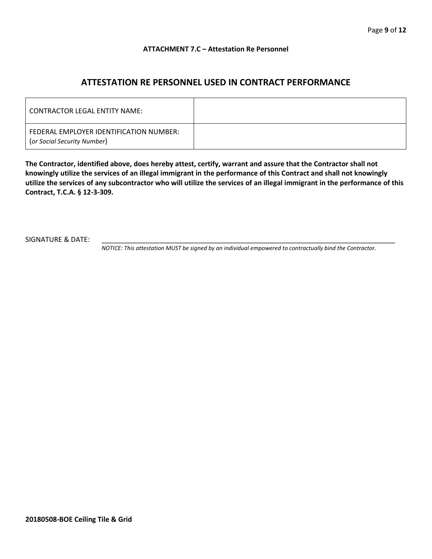#### **ATTACHMENT 7.C – Attestation Re Personnel**

## **ATTESTATION RE PERSONNEL USED IN CONTRACT PERFORMANCE**

| <b>CONTRACTOR LEGAL ENTITY NAME:</b>                                   |  |
|------------------------------------------------------------------------|--|
| FEDERAL EMPLOYER IDENTIFICATION NUMBER:<br>(or Social Security Number) |  |

**The Contractor, identified above, does hereby attest, certify, warrant and assure that the Contractor shall not knowingly utilize the services of an illegal immigrant in the performance of this Contract and shall not knowingly utilize the services of any subcontractor who will utilize the services of an illegal immigrant in the performance of this Contract, T.C.A. § 12-3-309.**

SIGNATURE & DATE:

*NOTICE: This attestation MUST be signed by an individual empowered to contractually bind the Contractor.*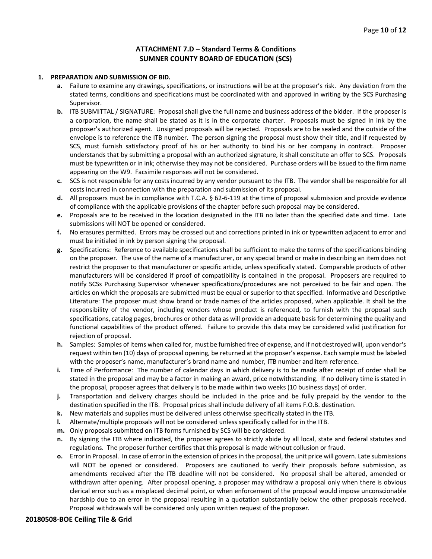#### **ATTACHMENT 7.D – Standard Terms & Conditions SUMNER COUNTY BOARD OF EDUCATION (SCS)**

#### **1. PREPARATION AND SUBMISSION OF BID.**

- **a.** Failure to examine any drawings**,** specifications, or instructions will be at the proposer's risk. Any deviation from the stated terms, conditions and specifications must be coordinated with and approved in writing by the SCS Purchasing Supervisor.
- **b.** ITB SUBMITTAL / SIGNATURE: Proposal shall give the full name and business address of the bidder. If the proposer is a corporation, the name shall be stated as it is in the corporate charter. Proposals must be signed in ink by the proposer's authorized agent. Unsigned proposals will be rejected. Proposals are to be sealed and the outside of the envelope is to reference the ITB number. The person signing the proposal must show their title, and if requested by SCS, must furnish satisfactory proof of his or her authority to bind his or her company in contract. Proposer understands that by submitting a proposal with an authorized signature, it shall constitute an offer to SCS. Proposals must be typewritten or in ink; otherwise they may not be considered. Purchase orders will be issued to the firm name appearing on the W9. Facsimile responses will not be considered.
- **c.** SCS is not responsible for any costs incurred by any vendor pursuant to the ITB. The vendor shall be responsible for all costs incurred in connection with the preparation and submission of its proposal.
- **d.** All proposers must be in compliance with T.C.A. § 62-6-119 at the time of proposal submission and provide evidence of compliance with the applicable provisions of the chapter before such proposal may be considered.
- **e.** Proposals are to be received in the location designated in the ITB no later than the specified date and time. Late submissions will NOT be opened or considered.
- **f.** No erasures permitted. Errors may be crossed out and corrections printed in ink or typewritten adjacent to error and must be initialed in ink by person signing the proposal.
- **g.** Specifications: Reference to available specifications shall be sufficient to make the terms of the specifications binding on the proposer. The use of the name of a manufacturer, or any special brand or make in describing an item does not restrict the proposer to that manufacturer or specific article, unless specifically stated. Comparable products of other manufacturers will be considered if proof of compatibility is contained in the proposal. Proposers are required to notify SCSs Purchasing Supervisor whenever specifications/procedures are not perceived to be fair and open. The articles on which the proposals are submitted must be equal or superior to that specified. Informative and Descriptive Literature: The proposer must show brand or trade names of the articles proposed, when applicable. It shall be the responsibility of the vendor, including vendors whose product is referenced, to furnish with the proposal such specifications, catalog pages, brochures or other data as will provide an adequate basis for determining the quality and functional capabilities of the product offered. Failure to provide this data may be considered valid justification for rejection of proposal.
- **h.** Samples: Samples of items when called for, must be furnished free of expense, and if not destroyed will, upon vendor's request within ten (10) days of proposal opening, be returned at the proposer's expense. Each sample must be labeled with the proposer's name, manufacturer's brand name and number, ITB number and item reference.
- **i.** Time of Performance: The number of calendar days in which delivery is to be made after receipt of order shall be stated in the proposal and may be a factor in making an award, price notwithstanding. If no delivery time is stated in the proposal, proposer agrees that delivery is to be made within two weeks (10 business days) of order.
- **j.** Transportation and delivery charges should be included in the price and be fully prepaid by the vendor to the destination specified in the ITB. Proposal prices shall include delivery of all items F.O.B. destination.
- **k.** New materials and supplies must be delivered unless otherwise specifically stated in the ITB.
- **l.** Alternate/multiple proposals will not be considered unless specifically called for in the ITB.
- **m.** Only proposals submitted on ITB forms furnished by SCS will be considered.
- **n.** By signing the ITB where indicated, the proposer agrees to strictly abide by all local, state and federal statutes and regulations. The proposer further certifies that this proposal is made without collusion or fraud.
- **o.** Error in Proposal. In case of error in the extension of prices in the proposal, the unit price will govern. Late submissions will NOT be opened or considered. Proposers are cautioned to verify their proposals before submission, as amendments received after the ITB deadline will not be considered. No proposal shall be altered, amended or withdrawn after opening. After proposal opening, a proposer may withdraw a proposal only when there is obvious clerical error such as a misplaced decimal point, or when enforcement of the proposal would impose unconscionable hardship due to an error in the proposal resulting in a quotation substantially below the other proposals received. Proposal withdrawals will be considered only upon written request of the proposer.

#### **20180508-BOE Ceiling Tile & Grid**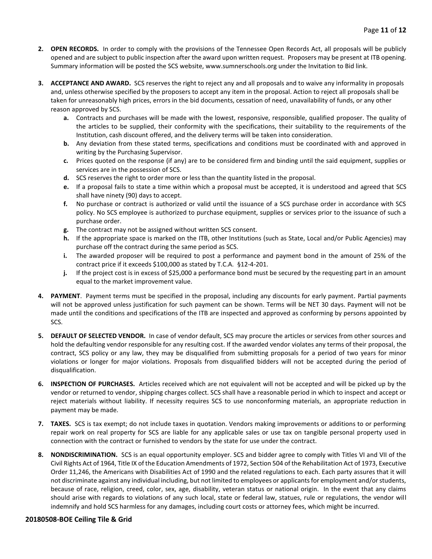- **2. OPEN RECORDS.** In order to comply with the provisions of the Tennessee Open Records Act, all proposals will be publicly opened and are subject to public inspection after the award upon written request. Proposers may be present at ITB opening. Summary information will be posted the SCS website, www.sumnerschools.org under the Invitation to Bid link.
- **3. ACCEPTANCE AND AWARD.** SCS reserves the right to reject any and all proposals and to waive any informality in proposals and, unless otherwise specified by the proposers to accept any item in the proposal. Action to reject all proposals shall be taken for unreasonably high prices, errors in the bid documents, cessation of need, unavailability of funds, or any other reason approved by SCS.
	- **a.** Contracts and purchases will be made with the lowest, responsive, responsible, qualified proposer. The quality of the articles to be supplied, their conformity with the specifications, their suitability to the requirements of the Institution, cash discount offered, and the delivery terms will be taken into consideration.
	- **b.** Any deviation from these stated terms, specifications and conditions must be coordinated with and approved in writing by the Purchasing Supervisor.
	- **c.** Prices quoted on the response (if any) are to be considered firm and binding until the said equipment, supplies or services are in the possession of SCS.
	- **d.** SCS reserves the right to order more or less than the quantity listed in the proposal.
	- **e.** If a proposal fails to state a time within which a proposal must be accepted, it is understood and agreed that SCS shall have ninety (90) days to accept.
	- **f.** No purchase or contract is authorized or valid until the issuance of a SCS purchase order in accordance with SCS policy. No SCS employee is authorized to purchase equipment, supplies or services prior to the issuance of such a purchase order.
	- **g.** The contract may not be assigned without written SCS consent.
	- **h.** If the appropriate space is marked on the ITB, other Institutions (such as State, Local and/or Public Agencies) may purchase off the contract during the same period as SCS.
	- **i.** The awarded proposer will be required to post a performance and payment bond in the amount of 25% of the contract price if it exceeds \$100,000 as stated by T.C.A. §12-4-201.
	- **j.** If the project cost is in excess of \$25,000 a performance bond must be secured by the requesting part in an amount equal to the market improvement value.
- **4. PAYMENT**. Payment terms must be specified in the proposal, including any discounts for early payment. Partial payments will not be approved unless justification for such payment can be shown. Terms will be NET 30 days. Payment will not be made until the conditions and specifications of the ITB are inspected and approved as conforming by persons appointed by SCS.
- **5. DEFAULT OF SELECTED VENDOR.** In case of vendor default, SCS may procure the articles or services from other sources and hold the defaulting vendor responsible for any resulting cost. If the awarded vendor violates any terms of their proposal, the contract, SCS policy or any law, they may be disqualified from submitting proposals for a period of two years for minor violations or longer for major violations. Proposals from disqualified bidders will not be accepted during the period of disqualification.
- **6. INSPECTION OF PURCHASES.** Articles received which are not equivalent will not be accepted and will be picked up by the vendor or returned to vendor, shipping charges collect. SCS shall have a reasonable period in which to inspect and accept or reject materials without liability. If necessity requires SCS to use nonconforming materials, an appropriate reduction in payment may be made.
- **7. TAXES.** SCS is tax exempt; do not include taxes in quotation. Vendors making improvements or additions to or performing repair work on real property for SCS are liable for any applicable sales or use tax on tangible personal property used in connection with the contract or furnished to vendors by the state for use under the contract.
- **8. NONDISCRIMINATION.** SCS is an equal opportunity employer. SCS and bidder agree to comply with Titles VI and VII of the Civil Rights Act of 1964, Title IX of the Education Amendments of 1972, Section 504 of the Rehabilitation Act of 1973, Executive Order 11,246, the Americans with Disabilities Act of 1990 and the related regulations to each. Each party assures that it will not discriminate against any individual including, but not limited to employees or applicants for employment and/or students, because of race, religion, creed, color, sex, age, disability, veteran status or national origin. In the event that any claims should arise with regards to violations of any such local, state or federal law, statues, rule or regulations, the vendor will indemnify and hold SCS harmless for any damages, including court costs or attorney fees, which might be incurred.

#### **20180508-BOE Ceiling Tile & Grid**